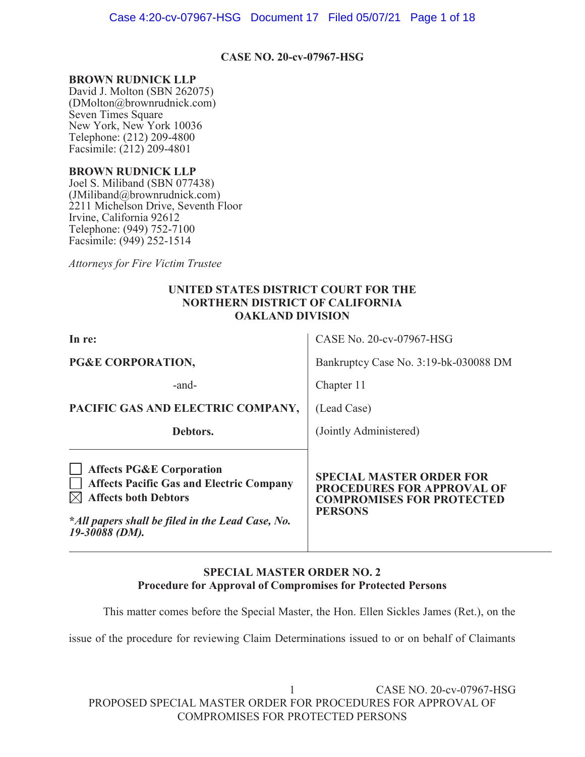Case 4:20-cv-07967-HSG Document 17 Filed 05/07/21 Page 1 of 18

#### **CASE NO. 20-cv-07967-HSG**

#### **BROWN RUDNICK LLP**

David J. Molton (SBN 262075) (DMolton@brownrudnick.com) Seven Times Square New York, New York 10036 Telephone: (212) 209-4800 Facsimile: (212) 209-4801

#### **BROWN RUDNICK LLP**

Joel S. Miliband (SBN 077438) (JMiliband@brownrudnick.com) 2211 Michelson Drive, Seventh Floor Irvine, California 92612 Telephone: (949) 752-7100 Facsimile: (949) 252-1514

*Attorneys for Fire Victim Trustee* 

### **UNITED STATES DISTRICT COURT FOR THE NORTHERN DISTRICT OF CALIFORNIA OAKLAND DIVISION**

| In re:                                                                                                                                                                                      | CASE No. 20-cv-07967-HSG                                                                                                   |
|---------------------------------------------------------------------------------------------------------------------------------------------------------------------------------------------|----------------------------------------------------------------------------------------------------------------------------|
| PG&E CORPORATION,                                                                                                                                                                           | Bankruptcy Case No. 3:19-bk-030088 DM                                                                                      |
| -and-                                                                                                                                                                                       | Chapter 11                                                                                                                 |
| PACIFIC GAS AND ELECTRIC COMPANY,                                                                                                                                                           | (Lead Case)                                                                                                                |
| Debtors.                                                                                                                                                                                    | (Jointly Administered)                                                                                                     |
| <b>Affects PG&amp;E Corporation</b><br><b>Affects Pacific Gas and Electric Company</b><br><b>Affects both Debtors</b><br>*All papers shall be filed in the Lead Case, No.<br>19-30088 (DM). | <b>SPECIAL MASTER ORDER FOR</b><br><b>PROCEDURES FOR APPROVAL OF</b><br><b>COMPROMISES FOR PROTECTED</b><br><b>PERSONS</b> |

### **SPECIAL MASTER ORDER NO. 2 Procedure for Approval of Compromises for Protected Persons**

This matter comes before the Special Master, the Hon. Ellen Sickles James (Ret.), on the

issue of the procedure for reviewing Claim Determinations issued to or on behalf of Claimants

 1 CASE NO. 20-cv-07967-HSG PROPOSED SPECIAL MASTER ORDER FOR PROCEDURES FOR APPROVAL OF COMPROMISES FOR PROTECTED PERSONS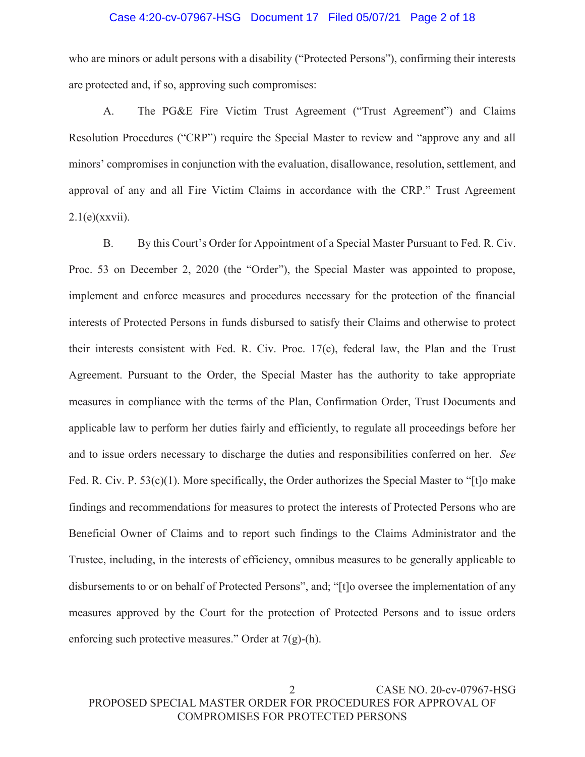#### Case 4:20-cv-07967-HSG Document 17 Filed 05/07/21 Page 2 of 18

who are minors or adult persons with a disability ("Protected Persons"), confirming their interests are protected and, if so, approving such compromises:

A. The PG&E Fire Victim Trust Agreement ("Trust Agreement") and Claims Resolution Procedures ("CRP") require the Special Master to review and "approve any and all minors' compromises in conjunction with the evaluation, disallowance, resolution, settlement, and approval of any and all Fire Victim Claims in accordance with the CRP." Trust Agreement  $2.1(e)$ (xxvii).

B. By this Court's Order for Appointment of a Special Master Pursuant to Fed. R. Civ. Proc. 53 on December 2, 2020 (the "Order"), the Special Master was appointed to propose, implement and enforce measures and procedures necessary for the protection of the financial interests of Protected Persons in funds disbursed to satisfy their Claims and otherwise to protect their interests consistent with Fed. R. Civ. Proc. 17(c), federal law, the Plan and the Trust Agreement. Pursuant to the Order, the Special Master has the authority to take appropriate measures in compliance with the terms of the Plan, Confirmation Order, Trust Documents and applicable law to perform her duties fairly and efficiently, to regulate all proceedings before her and to issue orders necessary to discharge the duties and responsibilities conferred on her. *See*  Fed. R. Civ. P. 53(c)(1). More specifically, the Order authorizes the Special Master to "[t]o make findings and recommendations for measures to protect the interests of Protected Persons who are Beneficial Owner of Claims and to report such findings to the Claims Administrator and the Trustee, including, in the interests of efficiency, omnibus measures to be generally applicable to disbursements to or on behalf of Protected Persons", and; "[t]o oversee the implementation of any measures approved by the Court for the protection of Protected Persons and to issue orders enforcing such protective measures." Order at 7(g)-(h).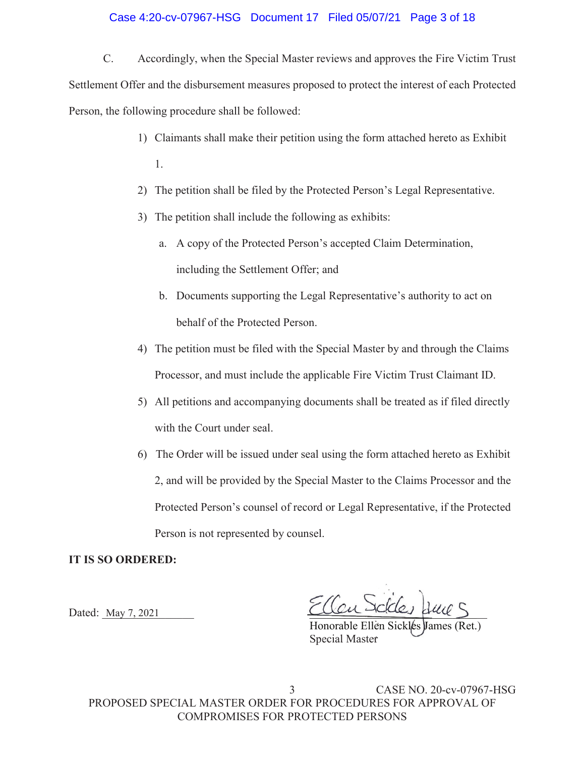#### Case 4:20-cv-07967-HSG Document 17 Filed 05/07/21 Page 3 of 18

C. Accordingly, when the Special Master reviews and approves the Fire Victim Trust Settlement Offer and the disbursement measures proposed to protect the interest of each Protected Person, the following procedure shall be followed:

- 1) Claimants shall make their petition using the form attached hereto as Exhibit 1.
- 2) The petition shall be filed by the Protected Person's Legal Representative.
- 3) The petition shall include the following as exhibits:
	- a. A copy of the Protected Person's accepted Claim Determination, including the Settlement Offer; and
	- b. Documents supporting the Legal Representative's authority to act on behalf of the Protected Person.
- 4) The petition must be filed with the Special Master by and through the Claims Processor, and must include the applicable Fire Victim Trust Claimant ID.
- 5) All petitions and accompanying documents shall be treated as if filed directly with the Court under seal.
- 6) The Order will be issued under seal using the form attached hereto as Exhibit 2, and will be provided by the Special Master to the Claims Processor and the Protected Person's counsel of record or Legal Representative, if the Protected Person is not represented by counsel.

#### **IT IS SO ORDERED:**

Dated: May 7, 2021

Dated: May 7, 2021  $CUCU$  rates and

Honorable Ellen Sickles James (Ret.) Special Master Master Ellen Sickles James (Ret.

 3 CASE NO. 20-cv-07967-HSG PROPOSED SPECIAL MASTER ORDER FOR PROCEDURES FOR APPROVAL OF COMPROMISES FOR PROTECTED PERSONS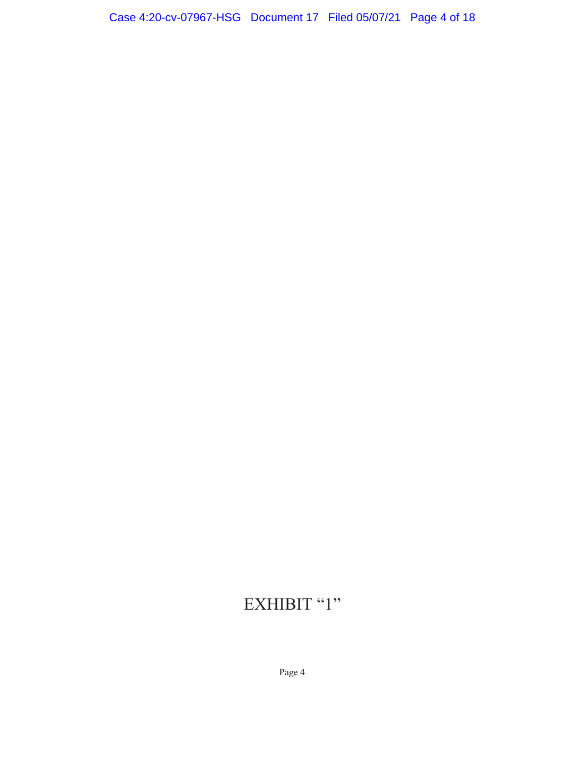# EXHIBIT "1"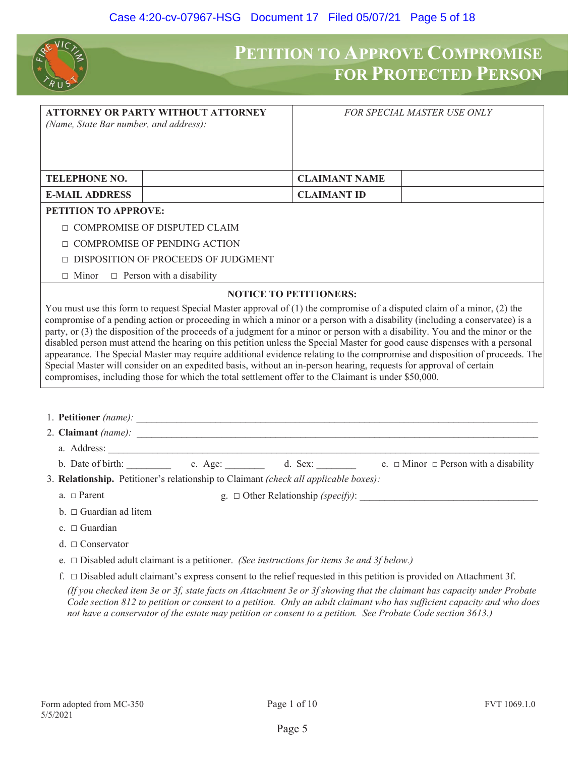

## **PETITION TO APPROVE COMPROMISE FOR PROTECTED PERSON**

| (Name, State Bar number, and address):                                                                                                                                                                                                                                                                                                                                                     | <b>ATTORNEY OR PARTY WITHOUT ATTORNEY</b> | <b>FOR SPECIAL MASTER USE ONLY</b> |  |
|--------------------------------------------------------------------------------------------------------------------------------------------------------------------------------------------------------------------------------------------------------------------------------------------------------------------------------------------------------------------------------------------|-------------------------------------------|------------------------------------|--|
| <b>TELEPHONE NO.</b>                                                                                                                                                                                                                                                                                                                                                                       |                                           | <b>CLAIMANT NAME</b>               |  |
| <b>E-MAIL ADDRESS</b>                                                                                                                                                                                                                                                                                                                                                                      |                                           | <b>CLAIMANT ID</b>                 |  |
| <b>PETITION TO APPROVE:</b>                                                                                                                                                                                                                                                                                                                                                                |                                           |                                    |  |
| $\Box$                                                                                                                                                                                                                                                                                                                                                                                     | COMPROMISE OF DISPUTED CLAIM              |                                    |  |
| <b>COMPROMISE OF PENDING ACTION</b>                                                                                                                                                                                                                                                                                                                                                        |                                           |                                    |  |
|                                                                                                                                                                                                                                                                                                                                                                                            | DISPOSITION OF PROCEEDS OF JUDGMENT       |                                    |  |
| $\Box$ Person with a disability<br>$\Box$ Minor                                                                                                                                                                                                                                                                                                                                            |                                           |                                    |  |
|                                                                                                                                                                                                                                                                                                                                                                                            |                                           | <b>NOTICE TO PETITIONERS:</b>      |  |
| You must use this form to request Special Master approval of $(1)$ the compromise of a disputed claim of a minor, $(2)$ the<br>compromise of a pending action or proceeding in which a minor or a person with a disability (including a conservatee) is a<br>party, or (3) the disposition of the proceeds of a judgment for a minor or person with a disability. You and the minor or the |                                           |                                    |  |
| disabled person must attend the hearing on this petition unless the Special Master for good cause dispenses with a personal<br>appearance. The Special Master may require additional evidence relating to the compromise and disposition of proceeds. The                                                                                                                                  |                                           |                                    |  |

Special Master will consider on an expedited basis, without an in-person hearing, requests for approval of certain compromises, including those for which the total settlement offer to the Claimant is under \$50,000.

1. **Petitioner** (name):

2. **Claimant** (name):

- a. Address:
- b. Date of birth:  $\begin{array}{ccc}\n\text{c. Age:} & \text{d. Sex:} & \text{e. } \Box \text{ Minor } \Box \text{ Person with a disability}\n\end{array}$
- 3. **Relationship.** Petitioner's relationship to Claimant *(check all applicable boxes):*
	- a.  $\Box$  Parent g.  $\Box$  Other Relationship *(specify)*:
	- $b.  $\Box$  Guardian ad litem$
	- c.  $\Box$  Guardian
	- $d \square$  Conservator
	- e. Ƒ Disabled adult claimant is a petitioner. *(See instructions for items 3e and 3f below.)*
	- f.  $\Box$  Disabled adult claimant's express consent to the relief requested in this petition is provided on Attachment 3f.

*(If you checked item 3e or 3f, state facts on Attachment 3e or 3f showing that the claimant has capacity under Probate Code section 812 to petition or consent to a petition. Only an adult claimant who has sufficient capacity and who does not have a conservator of the estate may petition or consent to a petition. See Probate Code section 3613.)*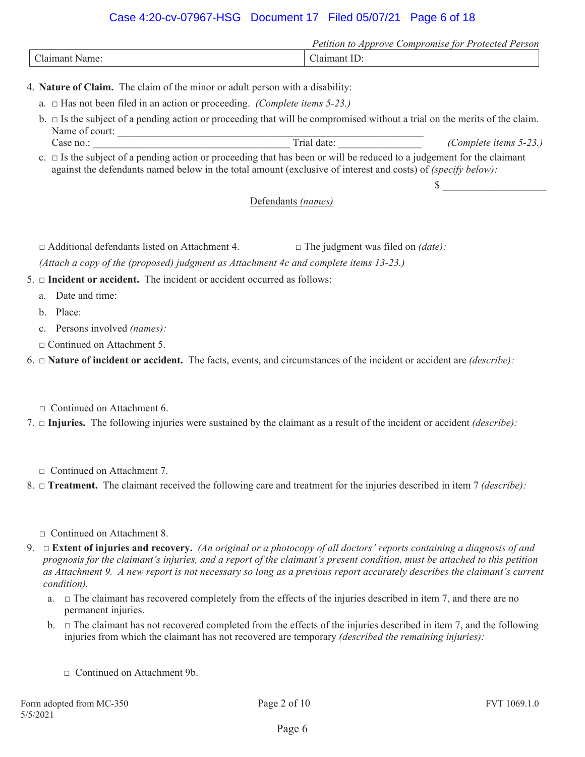## Case 4:20-cv-07967-HSG Document 17 Filed 05/07/21 Page 6 of 18

|             | ∍.<br>.<br>$\gamma$ <i>m<sub>1</sub>s</i> $\rho$ .<br>11010<br>omnr<br>erson<br>tor<br>Protecteo<br>ution<br>$\iota$ rn<br>$\epsilon$ |
|-------------|---------------------------------------------------------------------------------------------------------------------------------------|
| $\sim$<br>ы | $\overline{\phantom{a}}$                                                                                                              |

4. **Nature of Claim.** The claim of the minor or adult person with a disability:

- a.  $\Box$  Has not been filed in an action or proceeding. *(Complete items 5-23.)*
- $b. \Box$  Is the subject of a pending action or proceeding that will be compromised without a trial on the merits of the claim. Name of court:

Case no.: <br>
Trial date: (Complete items 5-23.)

 $c. \Box$  Is the subject of a pending action or proceeding that has been or will be reduced to a judgement for the claimant against the defendants named below in the total amount (exclusive of interest and costs) of *(specify below):*

## $\mathbb{S}$

#### Defendants *(names)*

□ Additional defendants listed on Attachment 4. □ The judgment was filed on *(date)*:

*(Attach a copy of the (proposed) judgment as Attachment 4c and complete items 13-23.)*

 $5. \Box$  **Incident or accident.** The incident or accident occurred as follows:

- a. Date and time:
- b. Place:
- c. Persons involved *(names):*
- Ƒ Continued on Attachment 5.

6.  $\Box$  **Nature of incident or accident.** The facts, events, and circumstances of the incident or accident are *(describe)*:

□ Continued on Attachment 6.

7.  $\Box$  **Injuries.** The following injuries were sustained by the claimant as a result of the incident or accident *(describe)*:

Ƒ Continued on Attachment 7.

8.  $\Box$  **Treatment.** The claimant received the following care and treatment for the injuries described in item 7 *(describe)*:

- Ƒ Continued on Attachment 8.
- 9.  $\Box$  **Extent of injuries and recovery.** *(An original or a photocopy of all doctors' reports containing a diagnosis of and prognosis for the claimant's injuries, and a report of the claimant's present condition, must be attached to this petition as Attachment 9. A new report is not necessary so long as a previous report accurately describes the claimant's current condition).*
	- a.  $\Box$  The claimant has recovered completely from the effects of the injuries described in item 7, and there are no permanent injuries.
	- b.  $\Box$  The claimant has not recovered completed from the effects of the injuries described in item 7, and the following injuries from which the claimant has not recovered are temporary *(described the remaining injuries):*
		- □ Continued on Attachment 9b.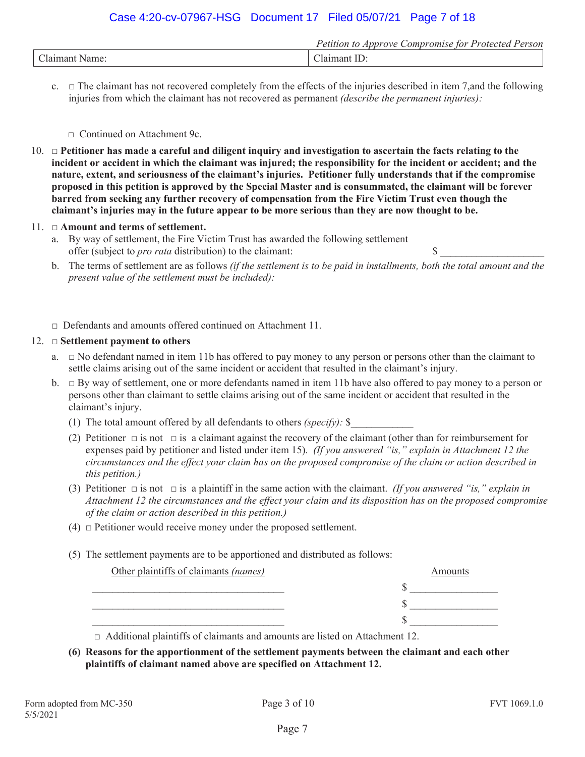## Case 4:20-cv-07967-HSG Document 17 Filed 05/07/21 Page 7 of 18

|                      | <i>Compromise</i><br>Annrove<br>'erson<br>: for Protected<br>'etition<br>w |
|----------------------|----------------------------------------------------------------------------|
| $\sim$<br>21 n<br>me | лат<br>на                                                                  |

c.  $\Box$  The claimant has not recovered completely from the effects of the injuries described in item 7, and the following injuries from which the claimant has not recovered as permanent *(describe the permanent injuries):*

Ƒ Continued on Attachment 9c.

10. Ƒ **Petitioner has made a careful and diligent inquiry and investigation to ascertain the facts relating to the incident or accident in which the claimant was injured; the responsibility for the incident or accident; and the nature, extent, and seriousness of the claimant's injuries. Petitioner fully understands that if the compromise proposed in this petition is approved by the Special Master and is consummated, the claimant will be forever barred from seeking any further recovery of compensation from the Fire Victim Trust even though the claimant's injuries may in the future appear to be more serious than they are now thought to be.** 

#### 11. Ƒ **Amount and terms of settlement.**

- a. By way of settlement, the Fire Victim Trust has awarded the following settlement offer (subject to *pro rata* distribution) to the claimant: \$ \_\_\_\_\_\_\_\_\_\_\_\_\_\_\_\_\_\_\_\_
- b. The terms of settlement are as follows *(if the settlement is to be paid in installments, both the total amount and the present value of the settlement must be included):*
- $\Box$  Defendants and amounts offered continued on Attachment 11.

#### 12.  $\Box$  **Settlement payment to others**

- a.  $\Box$  No defendant named in item 11b has offered to pay money to any person or persons other than the claimant to settle claims arising out of the same incident or accident that resulted in the claimant's injury.
- b.  $\Box$  By way of settlement, one or more defendants named in item 11b have also offered to pay money to a person or persons other than claimant to settle claims arising out of the same incident or accident that resulted in the claimant's injury.
	- (1) The total amount offered by all defendants to others *(specify):* \$\_\_\_\_\_\_\_\_\_\_\_\_
	- (2) Petitioner  $\Box$  is not  $\Box$  is a claimant against the recovery of the claimant (other than for reimbursement for expenses paid by petitioner and listed under item 15). *(If you answered "is," explain in Attachment 12 the circumstances and the effect your claim has on the proposed compromise of the claim or action described in this petition.)*
	- (3) Petitioner  $\Box$  is not  $\Box$  is a plaintiff in the same action with the claimant. *(If you answered "is," explain in Attachment 12 the circumstances and the effect your claim and its disposition has on the proposed compromise of the claim or action described in this petition.)*
	- $(4)$   $\Box$  Petitioner would receive money under the proposed settlement.
	- (5) The settlement payments are to be apportioned and distributed as follows:

| Other plaintiffs of claimants (names) | Amounts |
|---------------------------------------|---------|
|                                       |         |
|                                       |         |
|                                       |         |

 $\Box$  Additional plaintiffs of claimants and amounts are listed on Attachment 12.

**(6) Reasons for the apportionment of the settlement payments between the claimant and each other plaintiffs of claimant named above are specified on Attachment 12.**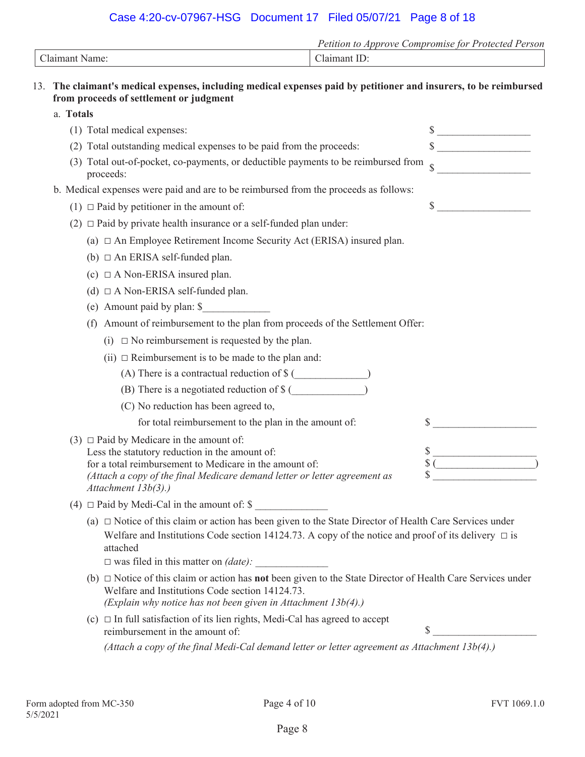## Case 4:20-cv-07967-HSG Document 17 Filed 05/07/21 Page 8 of 18

|                                                                                                                                                              | Petition to Approve Compromise for Protected Person |
|--------------------------------------------------------------------------------------------------------------------------------------------------------------|-----------------------------------------------------|
| Claimant Name:                                                                                                                                               | Claimant ID:                                        |
| 13. The claimant's medical expenses, including medical expenses paid by petitioner and insurers, to be reimbursed<br>from proceeds of settlement or judgment |                                                     |

| a. Totals |                                                                                                                                                                                                                                                                                               |                                                                                |
|-----------|-----------------------------------------------------------------------------------------------------------------------------------------------------------------------------------------------------------------------------------------------------------------------------------------------|--------------------------------------------------------------------------------|
|           | (1) Total medical expenses:                                                                                                                                                                                                                                                                   | $\frac{1}{2}$                                                                  |
|           | (2) Total outstanding medical expenses to be paid from the proceeds:                                                                                                                                                                                                                          | $\sim$                                                                         |
|           | (3) Total out-of-pocket, co-payments, or deductible payments to be reimbursed from<br>proceeds:                                                                                                                                                                                               | $\hat{\mathcal{L}}$                                                            |
|           | b. Medical expenses were paid and are to be reimbursed from the proceeds as follows:                                                                                                                                                                                                          |                                                                                |
|           | $(1)$ $\Box$ Paid by petitioner in the amount of:                                                                                                                                                                                                                                             | $\frac{\text{S}}{\text{S}}$                                                    |
|           | (2) $\Box$ Paid by private health insurance or a self-funded plan under:                                                                                                                                                                                                                      |                                                                                |
|           | (a) $\Box$ An Employee Retirement Income Security Act (ERISA) insured plan.                                                                                                                                                                                                                   |                                                                                |
|           | (b) $\Box$ An ERISA self-funded plan.                                                                                                                                                                                                                                                         |                                                                                |
|           | (c) $\Box$ A Non-ERISA insured plan.                                                                                                                                                                                                                                                          |                                                                                |
|           | (d) $\Box$ A Non-ERISA self-funded plan.                                                                                                                                                                                                                                                      |                                                                                |
|           | (e) Amount paid by plan: \$                                                                                                                                                                                                                                                                   |                                                                                |
|           | (f) Amount of reimbursement to the plan from proceeds of the Settlement Offer:                                                                                                                                                                                                                |                                                                                |
|           | (i) $\Box$ No reimbursement is requested by the plan.                                                                                                                                                                                                                                         |                                                                                |
|           | (ii) $\Box$ Reimbursement is to be made to the plan and:                                                                                                                                                                                                                                      |                                                                                |
|           |                                                                                                                                                                                                                                                                                               |                                                                                |
|           | (B) There is a negotiated reduction of \$ (                                                                                                                                                                                                                                                   |                                                                                |
|           | (C) No reduction has been agreed to,                                                                                                                                                                                                                                                          |                                                                                |
|           | for total reimbursement to the plan in the amount of:                                                                                                                                                                                                                                         |                                                                                |
|           | (3) $\Box$ Paid by Medicare in the amount of:<br>Less the statutory reduction in the amount of:<br>for a total reimbursement to Medicare in the amount of:<br>(Attach a copy of the final Medicare demand letter or letter agreement as<br>Attachment 13b(3).)                                | $\begin{array}{c}\n\text{\$}\n\end{array}\n\qquad \qquad \text{\_}\n\text{\_}$ |
|           | (4) $\Box$ Paid by Medi-Cal in the amount of: \$                                                                                                                                                                                                                                              |                                                                                |
|           | (a) $\Box$ Notice of this claim or action has been given to the State Director of Health Care Services under<br>Welfare and Institutions Code section 14124.73. A copy of the notice and proof of its delivery $\Box$ is<br>attached<br>$\square$ was filed in this matter on <i>(date)</i> : |                                                                                |
|           | (b) $\Box$ Notice of this claim or action has <b>not</b> been given to the State Director of Health Care Services under<br>Welfare and Institutions Code section 14124.73.<br>(Explain why notice has not been given in Attachment $13b(4)$ .)                                                |                                                                                |
|           | (c) $\Box$ In full satisfaction of its lien rights, Medi-Cal has agreed to accept<br>reimbursement in the amount of:                                                                                                                                                                          | \$                                                                             |
|           | (Attach a copy of the final Medi-Cal demand letter or letter agreement as Attachment $13b(4)$ .)                                                                                                                                                                                              |                                                                                |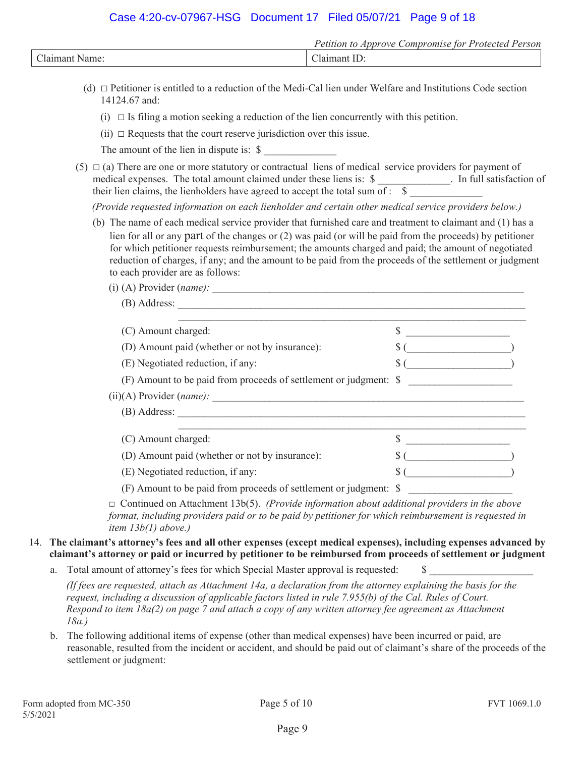## Case 4:20-cv-07967-HSG Document 17 Filed 05/07/21 Page 9 of 18

|          | <i>Petition</i><br>Compromise for Protected<br>Approve<br>Person |
|----------|------------------------------------------------------------------|
| Claimant | ، سے                                                             |
| Name:    |                                                                  |

- (d)  $\Box$  Petitioner is entitled to a reduction of the Medi-Cal lien under Welfare and Institutions Code section 14124.67 and:
	- $(i) \Box$  Is filing a motion seeking a reduction of the lien concurrently with this petition.
	- (ii)  $\Box$  Requests that the court reserve jurisdiction over this issue.

The amount of the lien in dispute is:  $\$ 

(5)  $\Box$  (a) There are one or more statutory or contractual liens of medical service providers for payment of medical expenses. The total amount claimed under these liens is: \$ \_\_\_\_\_\_\_\_\_\_\_\_. In full satisfaction of their lien claims, the lienholders have agreed to accept the total sum of :  $\$$ 

*(Provide requested information on each lienholder and certain other medical service providers below.)* 

- (b) The name of each medical service provider that furnished care and treatment to claimant and (1) has a lien for all or any part of the changes or (2) was paid (or will be paid from the proceeds) by petitioner for which petitioner requests reimbursement; the amounts charged and paid; the amount of negotiated reduction of charges, if any; and the amount to be paid from the proceeds of the settlement or judgment to each provider are as follows:
	- (i) (A) Provider (*name*):
	- (B) Address:  $(S)$  Amount charged:  $S$ (D) Amount paid (whether or not by insurance):  $\sqrt{\frac{g(1 - 1)}{g(1 - 1)}}$ (E) Negotiated reduction, if any:  $\S$  ( (F) Amount to be paid from proceeds of settlement or judgment: \$ \_\_\_\_\_\_\_\_\_\_\_\_\_\_\_\_\_\_\_\_ (ii)(A) Provider (*name*): (B) Address: \_\_\_\_\_\_\_\_\_\_\_\_\_\_\_\_\_\_\_\_\_\_\_\_\_\_\_\_\_\_\_\_\_\_\_\_\_\_\_\_\_\_\_\_\_\_\_\_\_\_\_\_\_\_\_\_\_\_\_\_\_\_\_\_\_\_\_ \_\_\_\_\_\_\_\_\_\_\_\_\_\_\_\_\_\_\_\_\_\_\_\_\_\_\_\_\_\_\_\_\_\_\_\_\_\_\_\_\_\_\_\_\_\_\_\_\_\_\_\_\_\_\_\_\_\_\_\_\_\_\_\_\_\_\_  $(S)$  Amount charged:  $S$ (D) Amount paid (whether or not by insurance):  $\S$  ( (E) Negotiated reduction, if any:  $\S$  ( (F) Amount to be paid from proceeds of settlement or judgment: \$ \_\_\_\_\_\_\_\_\_\_\_\_\_\_\_\_\_\_\_\_

 $\Box$  Continued on Attachment 13b(5). *(Provide information about additional providers in the above format, including providers paid or to be paid by petitioner for which reimbursement is requested in item 13b(1) above.)* 

#### 14. **The claimant's attorney's fees and all other expenses (except medical expenses), including expenses advanced by claimant's attorney or paid or incurred by petitioner to be reimbursed from proceeds of settlement or judgment**

a. Total amount of attorney's fees for which Special Master approval is requested: \$

*(If fees are requested, attach as Attachment 14a, a declaration from the attorney explaining the basis for the request, including a discussion of applicable factors listed in rule 7.955(b) of the Cal. Rules of Court. Respond to item 18a(2) on page 7 and attach a copy of any written attorney fee agreement as Attachment 18a.)* 

b. The following additional items of expense (other than medical expenses) have been incurred or paid, are reasonable, resulted from the incident or accident, and should be paid out of claimant's share of the proceeds of the settlement or judgment: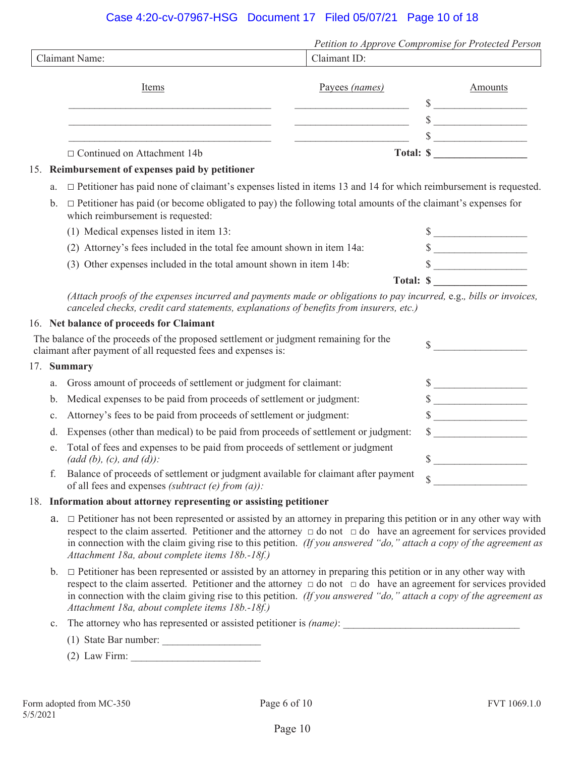## Case 4:20-cv-07967-HSG Document 17 Filed 05/07/21 Page 10 of 18

|     |                                                                                                                                                                                                              |                | Petition to Approve Compromise for Protected Person |
|-----|--------------------------------------------------------------------------------------------------------------------------------------------------------------------------------------------------------------|----------------|-----------------------------------------------------|
|     | <b>Claimant Name:</b>                                                                                                                                                                                        | Claimant ID:   |                                                     |
|     | Items                                                                                                                                                                                                        | Payees (names) | Amounts                                             |
|     |                                                                                                                                                                                                              |                | $\sim$                                              |
|     | <u> 1980 - Johann Barn, mars ar breithinn ar chomhair an t-</u>                                                                                                                                              |                | $\qquad \qquad \bullet$                             |
|     | <u> 1989 - Johann Barbara, martin amerikan basar dan berasal dalam basa dalam basar dalam basar dalam basa dalam</u>                                                                                         |                | $\frac{\text{S}}{\text{S}}$                         |
|     | $\Box$ Continued on Attachment 14b                                                                                                                                                                           |                | Total: $\frac{\sqrt{2}}{2}$                         |
| 15. | Reimbursement of expenses paid by petitioner                                                                                                                                                                 |                |                                                     |
| a.  | $\Box$ Petitioner has paid none of claimant's expenses listed in items 13 and 14 for which reimbursement is requested.                                                                                       |                |                                                     |
| b.  | $\Box$ Petitioner has paid (or become obligated to pay) the following total amounts of the claimant's expenses for<br>which reimbursement is requested:                                                      |                |                                                     |
|     | (1) Medical expenses listed in item 13:                                                                                                                                                                      |                | $\frac{\text{S}}{\text{S}}$                         |
|     | (2) Attorney's fees included in the total fee amount shown in item 14a:                                                                                                                                      |                | $\frac{\text{S}}{\text{S}}$                         |
|     | (3) Other expenses included in the total amount shown in item 14b:                                                                                                                                           |                | $\frac{\text{S}}{\text{S}}$                         |
|     |                                                                                                                                                                                                              |                | Total: $\frac{\sqrt{3}}{2}$                         |
|     | (Attach proofs of the expenses incurred and payments made or obligations to pay incurred, e.g., bills or invoices,<br>canceled checks, credit card statements, explanations of benefits from insurers, etc.) |                |                                                     |
|     | 16. Net balance of proceeds for Claimant                                                                                                                                                                     |                |                                                     |
|     | The balance of the proceeds of the proposed settlement or judgment remaining for the<br>claimant after payment of all requested fees and expenses is:                                                        |                | $\sim$                                              |
| 17. | <b>Summary</b>                                                                                                                                                                                               |                |                                                     |
| a.  | Gross amount of proceeds of settlement or judgment for claimant:                                                                                                                                             |                | $\frac{1}{2}$                                       |
| b.  | Medical expenses to be paid from proceeds of settlement or judgment:                                                                                                                                         |                | $\frac{\text{S}}{\text{S}}$                         |
| c.  | Attorney's fees to be paid from proceeds of settlement or judgment:                                                                                                                                          |                | $\frac{\text{S}}{\text{S}}$                         |
| d.  | Expenses (other than medical) to be paid from proceeds of settlement or judgment:                                                                                                                            |                | $\sim$                                              |
| e.  | Total of fees and expenses to be paid from proceeds of settlement or judgment<br>$(\text{add } (b), (c), \text{ and } (d))$ :                                                                                |                | \$                                                  |

f. Balance of proceeds of settlement or judgment available for claimant after payment Balance of proceeds of settlement or judgment available for claimant after payment  $\S$ 

#### 18. **Information about attorney representing or assisting petitioner**

- a.  $\Box$  Petitioner has not been represented or assisted by an attorney in preparing this petition or in any other way with respect to the claim asserted. Petitioner and the attorney  $\Box$  do not  $\Box$  do have an agreement for services provided in connection with the claim giving rise to this petition. *(If you answered "do," attach a copy of the agreement as Attachment 18a, about complete items 18b.-18f.)*
- $b. \Box$  Petitioner has been represented or assisted by an attorney in preparing this petition or in any other way with respect to the claim asserted. Petitioner and the attorney  $\Box$  do not  $\Box$  do have an agreement for services provided in connection with the claim giving rise to this petition. *(If you answered "do," attach a copy of the agreement as Attachment 18a, about complete items 18b.-18f.)*
- c. The attorney who has represented or assisted petitioner is *(name)*:
	- (1) State Bar number:  $\frac{1}{2}$
	- (2) Law Firm: \_\_\_\_\_\_\_\_\_\_\_\_\_\_\_\_\_\_\_\_\_\_\_\_\_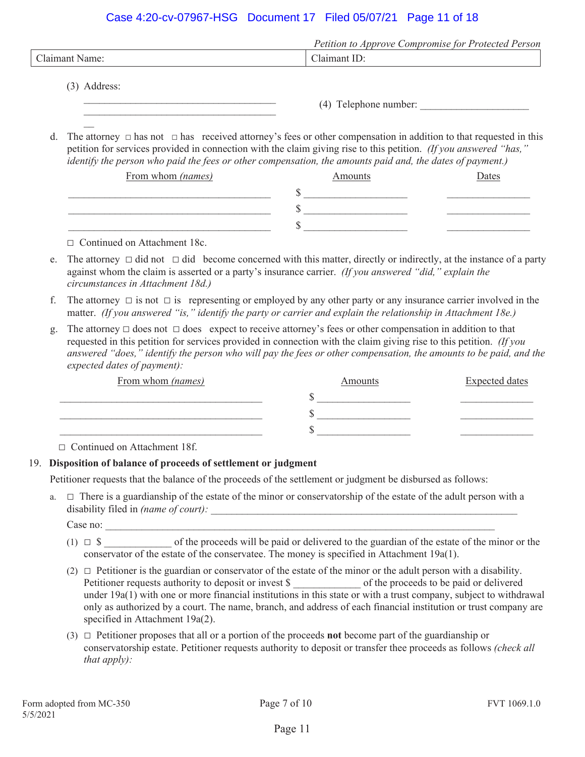### Case 4:20-cv-07967-HSG Document 17 Filed 05/07/21 Page 11 of 18

|                | Petition to Approve Compromise for Protected Person |
|----------------|-----------------------------------------------------|
| Claimant Name: | Claimant ID:                                        |
| $(3)$ Address: | (4) Telephone number:                               |

d. The attorney  $\Box$  has not  $\Box$  has received attorney's fees or other compensation in addition to that requested in this petition for services provided in connection with the claim giving rise to this petition. *(If you answered "has," identify the person who paid the fees or other compensation, the amounts paid and, the dates of payment.)*

| From whom (names) | Amounts | <b>Jates</b> |
|-------------------|---------|--------------|
|                   |         |              |
|                   |         |              |
|                   |         |              |

□ Continued on Attachment 18c.

 $\mathcal{L}=\mathcal{L}$ 

 $\mathcal{L}_\text{max}$ 

- e. The attorney  $\Box$  did not  $\Box$  did become concerned with this matter, directly or indirectly, at the instance of a party against whom the claim is asserted or a party's insurance carrier. *(If you answered "did," explain the circumstances in Attachment 18d.)*
- f. The attorney  $\Box$  is not  $\Box$  is representing or employed by any other party or any insurance carrier involved in the matter. *(If you answered "is," identify the party or carrier and explain the relationship in Attachment 18e.)*
- g. The attorney  $\Box$  does not  $\Box$  does expect to receive attorney's fees or other compensation in addition to that requested in this petition for services provided in connection with the claim giving rise to this petition. *(If you answered "does," identify the person who will pay the fees or other compensation, the amounts to be paid, and the expected dates of payment):*

| From whom (names) | Amounts | <b>Expected dates</b> |
|-------------------|---------|-----------------------|
|                   |         |                       |
|                   |         |                       |
|                   |         |                       |

□ Continued on Attachment 18f.

#### 19. **Disposition of balance of proceeds of settlement or judgment**

Petitioner requests that the balance of the proceeds of the settlement or judgment be disbursed as follows:

a.  $\Box$  There is a guardianship of the estate of the minor or conservatorship of the estate of the adult person with a disability filed in *(name of court)*:

 $Case no:$ 

- (1)  $\Box$  \$ \_\_\_\_\_\_\_\_\_ of the proceeds will be paid or delivered to the guardian of the estate of the minor or the conservator of the estate of the conservatee. The money is specified in Attachment 19a(1).
- (2)  $\Box$  Petitioner is the guardian or conservator of the estate of the minor or the adult person with a disability. Petitioner requests authority to deposit or invest \$ \_\_\_\_\_\_\_\_\_\_\_\_\_ of the proceeds to be paid or delivered under 19a(1) with one or more financial institutions in this state or with a trust company, subject to withdrawal only as authorized by a court. The name, branch, and address of each financial institution or trust company are specified in Attachment 19a(2).
- $(3)$   $\Box$  Petitioner proposes that all or a portion of the proceeds **not** become part of the guardianship or conservatorship estate. Petitioner requests authority to deposit or transfer thee proceeds as follows *(check all that apply):*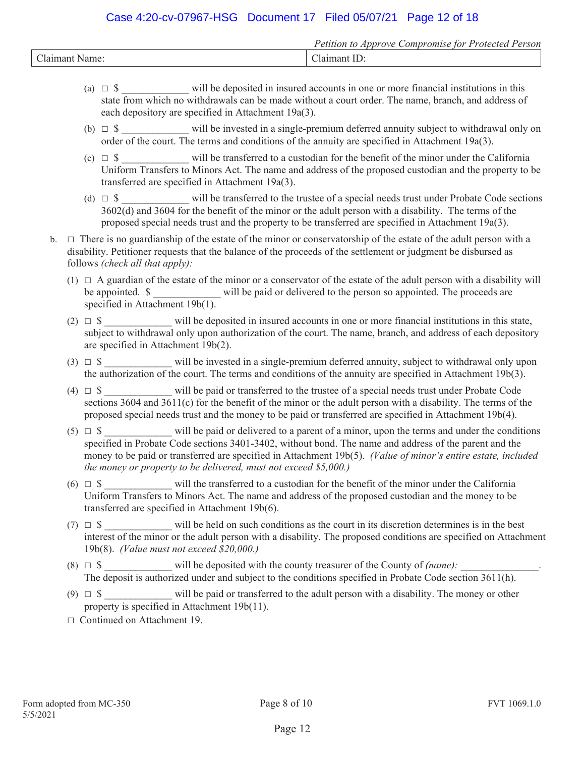## Case 4:20-cv-07967-HSG Document 17 Filed 05/07/21 Page 12 of 18

|                                | .<br><sup>o</sup> etition<br>Annrove<br>omi<br>tor<br>Protected<br>'erson<br>~om<br>use |
|--------------------------------|-----------------------------------------------------------------------------------------|
| $\sim$ 1<br>Jair,<br>Jame<br>ы | J.<br>l A1'                                                                             |

- (a)  $\Box$  \$  $\Box$  will be deposited in insured accounts in one or more financial institutions in this state from which no withdrawals can be made without a court order. The name, branch, and address of each depository are specified in Attachment 19a(3).
- (b)  $\Box$  \$ will be invested in a single-premium deferred annuity subject to withdrawal only on order of the court. The terms and conditions of the annuity are specified in Attachment 19a(3).
- (c)  $\Box$  \$ will be transferred to a custodian for the benefit of the minor under the California Uniform Transfers to Minors Act. The name and address of the proposed custodian and the property to be transferred are specified in Attachment 19a(3).
- (d)  $\Box$  \$ will be transferred to the trustee of a special needs trust under Probate Code sections 3602(d) and 3604 for the benefit of the minor or the adult person with a disability. The terms of the proposed special needs trust and the property to be transferred are specified in Attachment 19a(3).
- $b. \Box$  There is no guardianship of the estate of the minor or conservatorship of the estate of the adult person with a disability. Petitioner requests that the balance of the proceeds of the settlement or judgment be disbursed as follows *(check all that apply):*
	- $(1)$   $\Box$  A guardian of the estate of the minor or a conservator of the estate of the adult person with a disability will be appointed.  $\$$  will be paid or delivered to the person so appointed. The proceeds are specified in Attachment 19b(1).
	- (2)  $\Box$  \$ will be deposited in insured accounts in one or more financial institutions in this state, subject to withdrawal only upon authorization of the court. The name, branch, and address of each depository are specified in Attachment 19b(2).
	- (3)  $\Box$  \$ will be invested in a single-premium deferred annuity, subject to withdrawal only upon the authorization of the court. The terms and conditions of the annuity are specified in Attachment 19b(3).
	- (4)  $\Box$  \$ will be paid or transferred to the trustee of a special needs trust under Probate Code sections 3604 and 3611(c) for the benefit of the minor or the adult person with a disability. The terms of the proposed special needs trust and the money to be paid or transferred are specified in Attachment 19b(4).
	- (5)  $\Box$  \$ will be paid or delivered to a parent of a minor, upon the terms and under the conditions specified in Probate Code sections 3401-3402, without bond. The name and address of the parent and the money to be paid or transferred are specified in Attachment 19b(5). *(Value of minor's entire estate, included the money or property to be delivered, must not exceed \$5,000.)*
	- (6)  $\Box$  \$ will the transferred to a custodian for the benefit of the minor under the California Uniform Transfers to Minors Act. The name and address of the proposed custodian and the money to be transferred are specified in Attachment 19b(6).
	- (7)  $\Box$  \$ will be held on such conditions as the court in its discretion determines is in the best interest of the minor or the adult person with a disability. The proposed conditions are specified on Attachment 19b(8). *(Value must not exceed \$20,000.)*
	- (8)  $\Box$  \$ will be deposited with the county treasurer of the County of *(name)*: The deposit is authorized under and subject to the conditions specified in Probate Code section 3611(h).
	- (9)  $\Box$  \$ will be paid or transferred to the adult person with a disability. The money or other property is specified in Attachment 19b(11).
	- □ Continued on Attachment 19.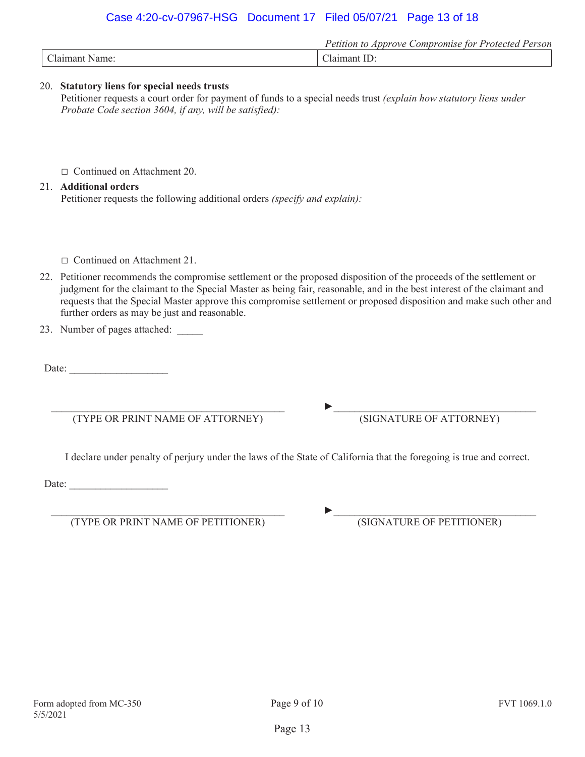## Case 4:20-cv-07967-HSG Document 17 Filed 05/07/21 Page 13 of 18

|                 | <i>_ompromise</i><br>Annrove<br>Petition<br><sup>9</sup> erson<br>Protected<br>tor<br>w |
|-----------------|-----------------------------------------------------------------------------------------|
| $\sim$<br>Name: | oant<br>.la*                                                                            |

#### 20. **Statutory liens for special needs trusts**

Petitioner requests a court order for payment of funds to a special needs trust *(explain how statutory liens under Probate Code section 3604, if any, will be satisfied):* 

Ƒ Continued on Attachment 20.

## 21. **Additional orders**

Petitioner requests the following additional orders *(specify and explain):* 

- Ƒ Continued on Attachment 21.
- 22. Petitioner recommends the compromise settlement or the proposed disposition of the proceeds of the settlement or judgment for the claimant to the Special Master as being fair, reasonable, and in the best interest of the claimant and requests that the Special Master approve this compromise settlement or proposed disposition and make such other and further orders as may be just and reasonable.
- 23. Number of pages attached:

Date:

 $\mathcal{L}_\text{max}$  and the contract of the contract of the contract of the contract of the contract of the contract of the contract of the contract of the contract of the contract of the contract of the contract of the contrac (TYPE OR PRINT NAME OF ATTORNEY)

 $\blacktriangleright$ (SIGNATURE OF ATTORNEY)

I declare under penalty of perjury under the laws of the State of California that the foregoing is true and correct.

Date:

 $\mathcal{L}_\text{max}$  and the contract of the contract of the contract of the contract of the contract of the contract of the contract of the contract of the contract of the contract of the contract of the contract of the contrac (TYPE OR PRINT NAME OF PETITIONER)

 $\blacktriangleright$ (SIGNATURE OF PETITIONER)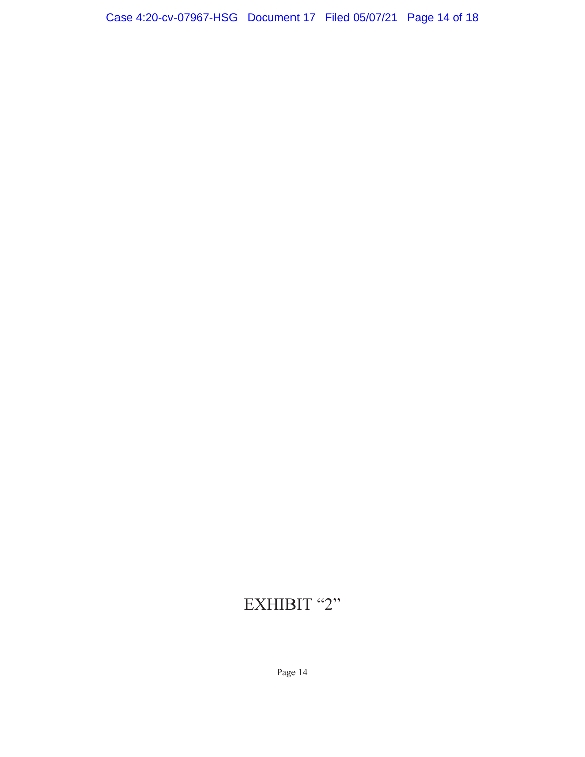# EXHIBIT "2"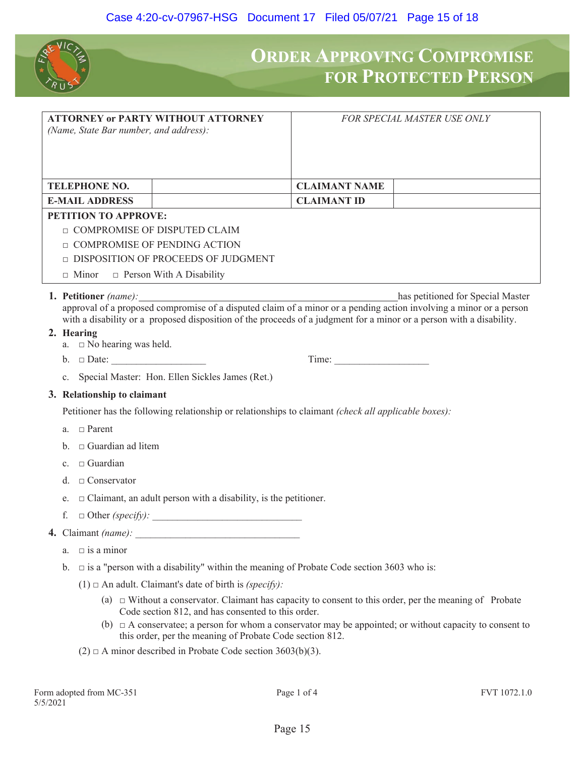

## **ORDER APPROVING COMPROMISE FOR PROTECTED PERSON**

| (Name, State Bar number, and address):                                       | <b>ATTORNEY or PARTY WITHOUT ATTORNEY</b>                                                                                                                                  |                      | FOR SPECIAL MASTER USE ONLY                                                                                                                                                                                            |
|------------------------------------------------------------------------------|----------------------------------------------------------------------------------------------------------------------------------------------------------------------------|----------------------|------------------------------------------------------------------------------------------------------------------------------------------------------------------------------------------------------------------------|
| <b>TELEPHONE NO.</b>                                                         |                                                                                                                                                                            | <b>CLAIMANT NAME</b> |                                                                                                                                                                                                                        |
| <b>E-MAIL ADDRESS</b>                                                        |                                                                                                                                                                            | <b>CLAIMANT ID</b>   |                                                                                                                                                                                                                        |
| PETITION TO APPROVE:                                                         |                                                                                                                                                                            |                      |                                                                                                                                                                                                                        |
| <b>COMPROMISE OF DISPUTED CLAIM</b>                                          |                                                                                                                                                                            |                      |                                                                                                                                                                                                                        |
| <b>COMPROMISE OF PENDING ACTION</b>                                          | $\Box$ DISPOSITION OF PROCEEDS OF JUDGMENT                                                                                                                                 |                      |                                                                                                                                                                                                                        |
| $\Box$ Minor                                                                 | $\Box$ Person With A Disability                                                                                                                                            |                      |                                                                                                                                                                                                                        |
| 2. Hearing                                                                   | with a disability or a proposed disposition of the proceeds of a judgment for a minor or a person with a disability.                                                       |                      | <b>1. Petitioner</b> (name): has petitioned for Special Master approval of a proposed compromise of a disputed claim of a minor or a pending action involving a minor or a person<br>has petitioned for Special Master |
| a. $\Box$ No hearing was held.                                               |                                                                                                                                                                            |                      |                                                                                                                                                                                                                        |
|                                                                              |                                                                                                                                                                            | Time:                |                                                                                                                                                                                                                        |
| $c_{\cdot}$                                                                  | Special Master: Hon. Ellen Sickles James (Ret.)                                                                                                                            |                      |                                                                                                                                                                                                                        |
| 3. Relationship to claimant                                                  |                                                                                                                                                                            |                      |                                                                                                                                                                                                                        |
|                                                                              | Petitioner has the following relationship or relationships to claimant (check all applicable boxes):                                                                       |                      |                                                                                                                                                                                                                        |
| a. $\Box$ Parent                                                             |                                                                                                                                                                            |                      |                                                                                                                                                                                                                        |
| $\Box$ Guardian ad litem<br>$h_{-}$                                          |                                                                                                                                                                            |                      |                                                                                                                                                                                                                        |
| $\Box$ Guardian<br>c.                                                        |                                                                                                                                                                            |                      |                                                                                                                                                                                                                        |
| $\Box$ Conservator<br>d.                                                     |                                                                                                                                                                            |                      |                                                                                                                                                                                                                        |
| $\Box$ Claimant, an adult person with a disability, is the petitioner.<br>e. |                                                                                                                                                                            |                      |                                                                                                                                                                                                                        |
| f.                                                                           | $\Box$ Other (specify):                                                                                                                                                    |                      |                                                                                                                                                                                                                        |
|                                                                              |                                                                                                                                                                            |                      |                                                                                                                                                                                                                        |
| $\Box$ is a minor<br>$a_{-}$                                                 |                                                                                                                                                                            |                      |                                                                                                                                                                                                                        |
|                                                                              | b. $\Box$ is a "person with a disability" within the meaning of Probate Code section 3603 who is:<br>$(1)$ $\Box$ An adult. Claimant's date of birth is <i>(specify)</i> : |                      |                                                                                                                                                                                                                        |

- (a)  $\Box$  Without a conservator. Claimant has capacity to consent to this order, per the meaning of Probate Code section 812, and has consented to this order.
- (b)  $\Box$  A conservatee; a person for whom a conservator may be appointed; or without capacity to consent to this order, per the meaning of Probate Code section 812.
- (2)  $\Box$  A minor described in Probate Code section 3603(b)(3).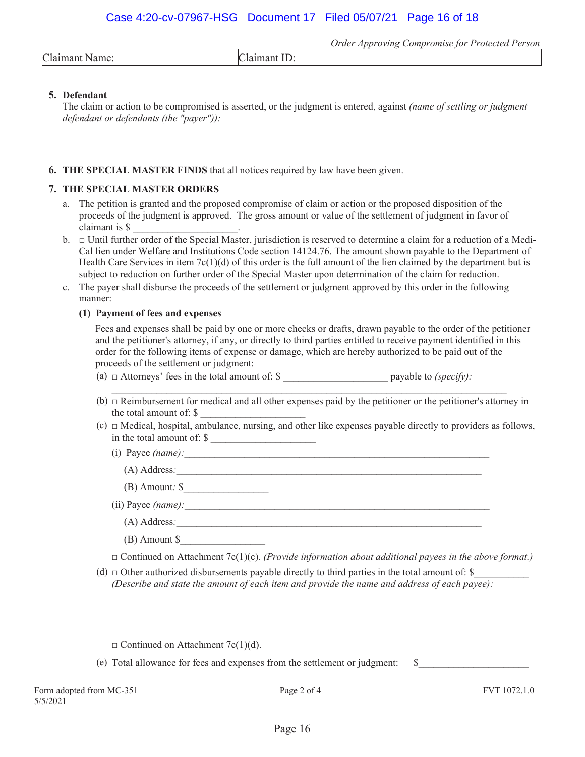*Order Approving Compromise for Protected Person*  Claimant Name: Claimant ID:

#### **5. Defendant**

The claim or action to be compromised is asserted, or the judgment is entered, against *(name of settling or judgment defendant or defendants (the "payer")):* 

#### **6. THE SPECIAL MASTER FINDS** that all notices required by law have been given.

#### **7. THE SPECIAL MASTER ORDERS**

- a. The petition is granted and the proposed compromise of claim or action or the proposed disposition of the proceeds of the judgment is approved. The gross amount or value of the settlement of judgment in favor of claimant is \$ \_\_\_\_\_\_\_\_\_\_\_\_\_\_\_\_\_\_\_\_\_.
- b.  $\Box$  Until further order of the Special Master, jurisdiction is reserved to determine a claim for a reduction of a Medi-Cal lien under Welfare and Institutions Code section 14124.76. The amount shown payable to the Department of Health Care Services in item  $7c(1)(d)$  of this order is the full amount of the lien claimed by the department but is subject to reduction on further order of the Special Master upon determination of the claim for reduction.
- c. The payer shall disburse the proceeds of the settlement or judgment approved by this order in the following manner:

#### **(1) Payment of fees and expenses**

Fees and expenses shall be paid by one or more checks or drafts, drawn payable to the order of the petitioner and the petitioner's attorney, if any, or directly to third parties entitled to receive payment identified in this order for the following items of expense or damage, which are hereby authorized to be paid out of the proceeds of the settlement or judgment:

- (a)  $\Box$  Attorneys' fees in the total amount of:  $\$  payable to *(specify):*  $\Box$
- (b)  $\Box$  Reimbursement for medical and all other expenses paid by the petitioner or the petitioner's attorney in the total amount of: \$ \_\_\_\_\_\_\_\_\_\_\_\_\_\_\_\_\_\_\_\_\_
- $(c)$   $\Box$  Medical, hospital, ambulance, nursing, and other like expenses payable directly to providers as follows, in the total amount of: \$
	- (i) Payee  $(name)$ :
		- (A) Address*:\_\_\_\_\_\_\_\_\_\_\_\_\_\_\_\_\_\_\_\_\_\_\_\_\_\_\_\_\_\_\_\_\_\_\_\_\_\_\_\_\_\_\_\_\_\_\_\_\_\_\_\_\_\_\_\_\_\_\_\_\_*
		- (B) Amount*:* \$*\_\_\_\_\_\_\_\_\_\_\_\_\_\_\_\_\_*

(ii) Payee (name):

- (A) Address*:\_\_\_\_\_\_\_\_\_\_\_\_\_\_\_\_\_\_\_\_\_\_\_\_\_\_\_\_\_\_\_\_\_\_\_\_\_\_\_\_\_\_\_\_\_\_\_\_\_\_\_\_\_\_\_\_\_\_\_\_\_*
- (B) Amount \$*\_\_\_\_\_\_\_\_\_\_\_\_\_\_\_\_\_*
- $\Box$  Continued on Attachment 7c(1)(c). *(Provide information about additional payees in the above format.*)
- (d)  $\Box$  Other authorized disbursements payable directly to third parties in the total amount of: \$ *(Describe and state the amount of each item and provide the name and address of each payee):*

 $\Box$  Continued on Attachment 7c(1)(d).

(e) Total allowance for fees and expenses from the settlement or judgment:  $\$$ 

Form adopted from MC-351 Page 2 of 4 FVT 1072.1.0 5/5/2021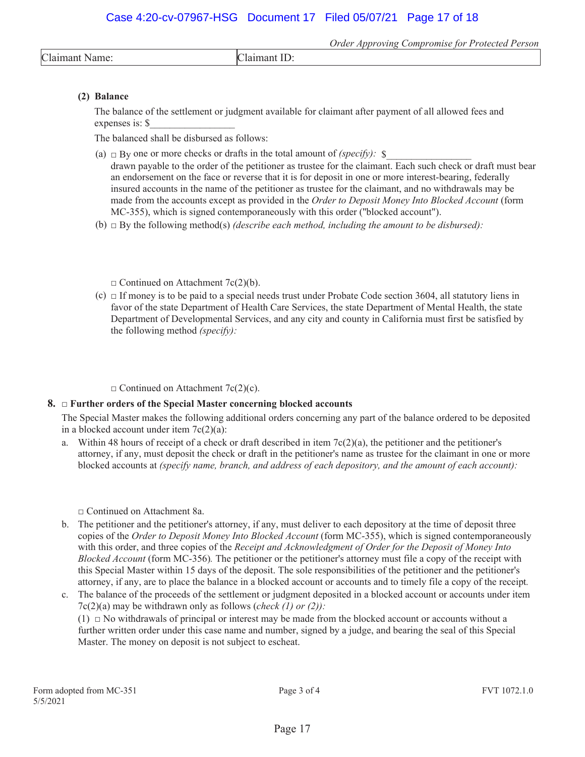*Order Approving Compromise for Protected Person* 

Claimant ID:

#### **(2) Balance**

The balance of the settlement or judgment available for claimant after payment of all allowed fees and expenses is: \$*\_\_\_\_\_\_\_\_\_\_\_\_\_\_\_\_\_*

The balanced shall be disbursed as follows:

- (a)  $\Box$  By one or more checks or drafts in the total amount of *(specify)*:  $\$ 
	- drawn payable to the order of the petitioner as trustee for the claimant. Each such check or draft must bear an endorsement on the face or reverse that it is for deposit in one or more interest-bearing, federally insured accounts in the name of the petitioner as trustee for the claimant, and no withdrawals may be made from the accounts except as provided in the *Order to Deposit Money Into Blocked Account* (form MC-355), which is signed contemporaneously with this order (''blocked account").
- (b)  $\Box$  By the following method(s) *(describe each method, including the amount to be disbursed)*:

 $\Box$  Continued on Attachment 7c(2)(b).

(c)  $\Box$  If money is to be paid to a special needs trust under Probate Code section 3604, all statutory liens in favor of the state Department of Health Care Services, the state Department of Mental Health, the state Department of Developmental Services, and any city and county in California must first be satisfied by the following method *(specify):*

 $\Box$  Continued on Attachment 7c(2)(c).

#### **8.** □ **Further orders of the Special Master concerning blocked accounts**

The Special Master makes the following additional orders concerning any part of the balance ordered to be deposited in a blocked account under item  $7c(2)(a)$ :

a. Within 48 hours of receipt of a check or draft described in item  $7c(2)(a)$ , the petitioner and the petitioner's attorney, if any, must deposit the check or draft in the petitioner's name as trustee for the claimant in one or more blocked accounts at *(specify name, branch, and address of each depository, and the amount of each account):* 

Ƒ Continued on Attachment 8a.

- b. The petitioner and the petitioner's attorney, if any, must deliver to each depository at the time of deposit three copies of the *Order to Deposit Money Into Blocked Account* (form MC-355), which is signed contemporaneously with this order, and three copies of the *Receipt and Acknowledgment of Order for the Deposit of Money Into Blocked Account* (form MC-356)*.* The petitioner or the petitioner's attorney must file a copy of the receipt with this Special Master within 15 days of the deposit. The sole responsibilities of the petitioner and the petitioner's attorney, if any, are to place the balance in a blocked account or accounts and to timely file a copy of the receipt*.*
- c. The balance of the proceeds of the settlement or judgment deposited in a blocked account or accounts under item 7c(2)(a) may be withdrawn only as follows (*check (1) or (2)):*

 $(1)$   $\Box$  No withdrawals of principal or interest may be made from the blocked account or accounts without a further written order under this case name and number, signed by a judge, and bearing the seal of this Special Master. The money on deposit is not subject to escheat.